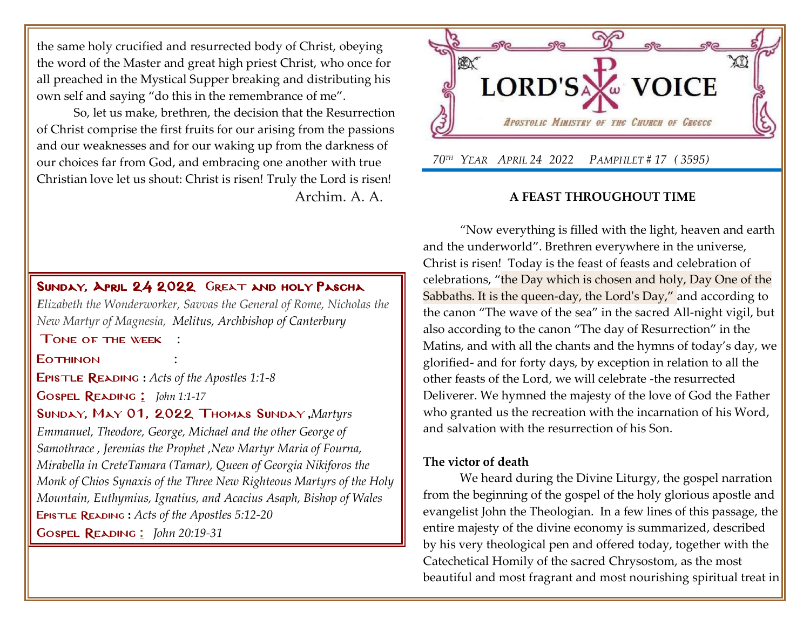the same holy crucified and resurrected body of Christ, obeying the word of the Master and great high priest Christ, who once for all preached in the Mystical Supper breaking and distributing his own self and saying "do this in the remembrance of me".

So, let us make, brethren, the decision that the Resurrection of Christ comprise the first fruits for our arising from the passions and our weaknesses and for our waking up from the darkness of our choices far from God, and embracing one another with true Christian love let us shout: Christ is risen! Truly the Lord is risen! Archim. A. A.

# SUNDAY,APRIL 24 2022 GREAT AND HOLY PASCHA

*E[lizabeth the Wonderworker, Savvas](http://www.goarch.org/chapel/saints?contentid=13) the General of Rome, Nicholas the [New Martyr of Magnesia, Melitus, Archbishop of Canterbury](http://www.goarch.org/chapel/saints?contentid=13)*

[T](http://www.goarch.org/chapel/saints?contentid=13)one of the week :

#### **FOTHINON**

Epistle Reading **:** *[Acts of the Apostles 1:1-8](http://www.goarch.org/chapel/lectionary?type=E&code=3&event=1009&date=04/24/2022)*

Gospel Reading [:](http://www.goarch.org/chapel/lectionary?type=G&code=362&event=218) *[John 1:1-17](http://www.goarch.org/chapel/lectionary?type=G&code=300&event=900)*

### Sunday, May 01, 2022 Thomas Sunday **,***[Martyrs](http://www.goarch.org/chapel/saints?contentid=2525)*

*[Emmanuel, Theodore, George, Michael and the other George of](http://www.goarch.org/chapel/saints?contentid=2525)  [Samothrace](http://www.goarch.org/chapel/saints?contentid=2525) , [Jeremias the Prophet](http://www.goarch.org/chapel/saints?contentid=37) ,New Martyr Maria of Fourna, Mirabella in Cret[eTamara \(Tamar\), Queen of Georgia](http://www.goarch.org/chapel/saints?contentid=2084) Nikiforos the Monk of Chios [Synaxis of the Three New Righteous Martyrs of the Holy](http://www.goarch.org/chapel/saints?contentid=2083)  [Mountain, Euthymius, Ignatius, and Acacius](http://www.goarch.org/chapel/saints?contentid=2083) Asaph, Bishop of Wales* Epistle Reading **:** *[Acts of the Apostles 5:12-20](http://www.goarch.org/chapel/lectionary?type=E&code=3&event=1009&date=04/24/2022)*

Gospel Reading **[:](http://www.goarch.org/chapel/lectionary?type=G&code=362&event=218)** *[John 20:19-31](http://www.goarch.org/chapel/lectionary?type=G&code=300&event=900)*



### **A FEAST THROUGHOUT TIME**

"Now everything is filled with the light, heaven and earth and the underworld". Brethren everywhere in the universe, Christ is risen! Today is the feast of feasts and celebration of celebrations, "the Day which is chosen and holy, Day One of the Sabbaths. It is the queen-day, the Lord's Day," and according to the canon "The wave of the sea" in the sacred All-night vigil, but also according to the canon "The day of Resurrection" in the Matins, and with all the chants and the hymns of today's day, we glorified- and for forty days, by exception in relation to all the other feasts of the Lord, we will celebrate -the resurrected Deliverer. We hymned the majesty of the love of God the Father who granted us the recreation with the incarnation of his Word, and salvation with the resurrection of his Son.

### **The victor of death**

We heard during the Divine Liturgy, the gospel narration from the beginning of the gospel of the holy glorious apostle and evangelist John the Theologian. In a few lines of this passage, the entire majesty of the divine economy is summarized, described by his very theological pen and offered today, together with the Catechetical Homily of the sacred Chrysostom, as the most beautiful and most fragrant and most nourishing spiritual treat in